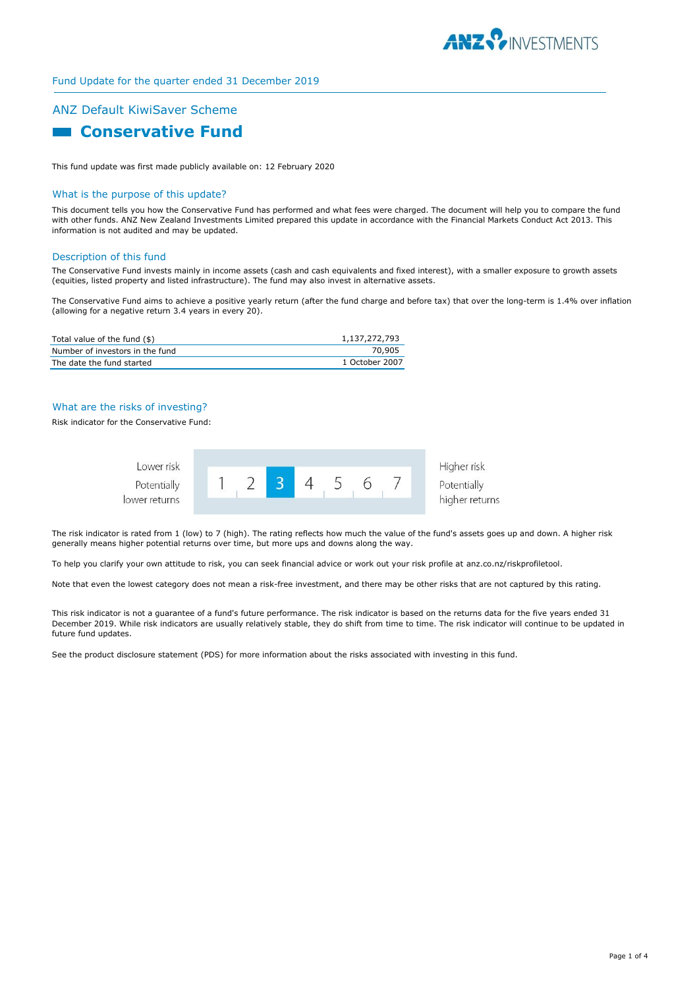

# ANZ Default KiwiSaver Scheme

# **Conservative Fund**

This fund update was first made publicly available on: 12 February 2020

### What is the purpose of this update?

This document tells you how the Conservative Fund has performed and what fees were charged. The document will help you to compare the fund with other funds. ANZ New Zealand Investments Limited prepared this update in accordance with the Financial Markets Conduct Act 2013. This information is not audited and may be updated.

#### Description of this fund

The Conservative Fund invests mainly in income assets (cash and cash equivalents and fixed interest), with a smaller exposure to growth assets (equities, listed property and listed infrastructure). The fund may also invest in alternative assets.

The Conservative Fund aims to achieve a positive yearly return (after the fund charge and before tax) that over the long-term is 1.4% over inflation (allowing for a negative return 3.4 years in every 20).

| Total value of the fund (\$)    | 1,137,272,793  |
|---------------------------------|----------------|
| Number of investors in the fund | 70.905         |
| The date the fund started       | 1 October 2007 |

## What are the risks of investing?

Risk indicator for the Conservative Fund:



The risk indicator is rated from 1 (low) to 7 (high). The rating reflects how much the value of the fund's assets goes up and down. A higher risk generally means higher potential returns over time, but more ups and downs along the way.

To help you clarify your own attitude to risk, you can seek financial advice or work out your risk profile at anz.co.nz/riskprofiletool.

Note that even the lowest category does not mean a risk-free investment, and there may be other risks that are not captured by this rating.

This risk indicator is not a guarantee of a fund's future performance. The risk indicator is based on the returns data for the five years ended 31 December 2019. While risk indicators are usually relatively stable, they do shift from time to time. The risk indicator will continue to be updated in future fund updates.

See the product disclosure statement (PDS) for more information about the risks associated with investing in this fund.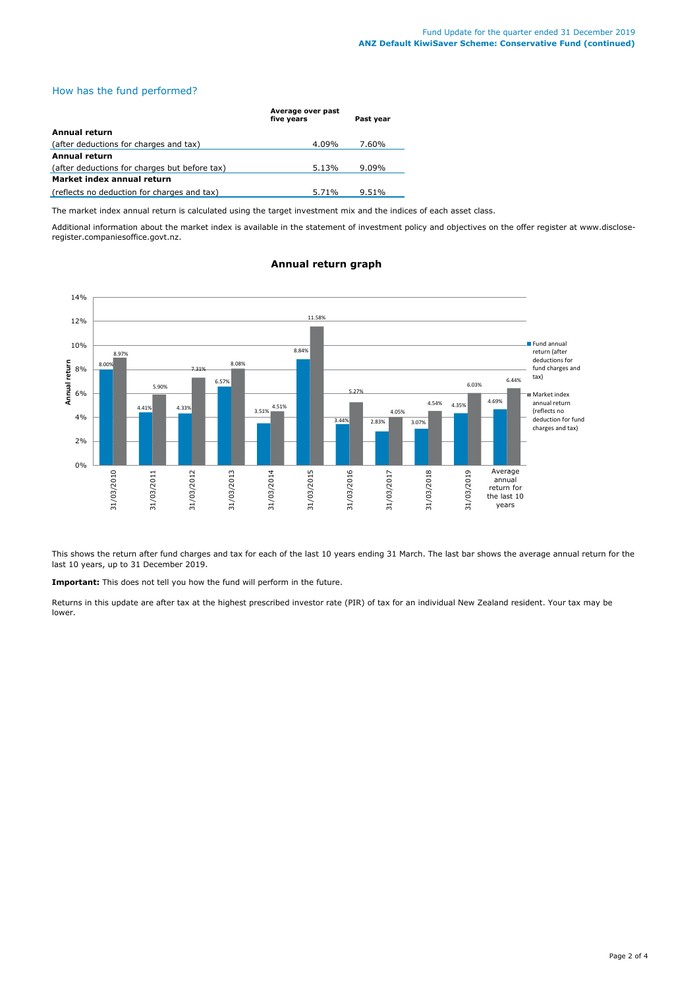## How has the fund performed?

|                                               | Average over past<br>five years | Past year |
|-----------------------------------------------|---------------------------------|-----------|
| Annual return                                 |                                 |           |
| (after deductions for charges and tax)        | 4.09%                           | 7.60%     |
| Annual return                                 |                                 |           |
| (after deductions for charges but before tax) | 5.13%                           | $9.09\%$  |
| Market index annual return                    |                                 |           |
| (reflects no deduction for charges and tax)   | 5.71%                           | $9.51\%$  |

The market index annual return is calculated using the target investment mix and the indices of each asset class.

Additional information about the market index is available in the statement of investment policy and objectives on the offer register at www.discloseregister.companiesoffice.govt.nz.



# **Annual return graph**

This shows the return after fund charges and tax for each of the last 10 years ending 31 March. The last bar shows the average annual return for the last 10 years, up to 31 December 2019.

**Important:** This does not tell you how the fund will perform in the future.

Returns in this update are after tax at the highest prescribed investor rate (PIR) of tax for an individual New Zealand resident. Your tax may be lower.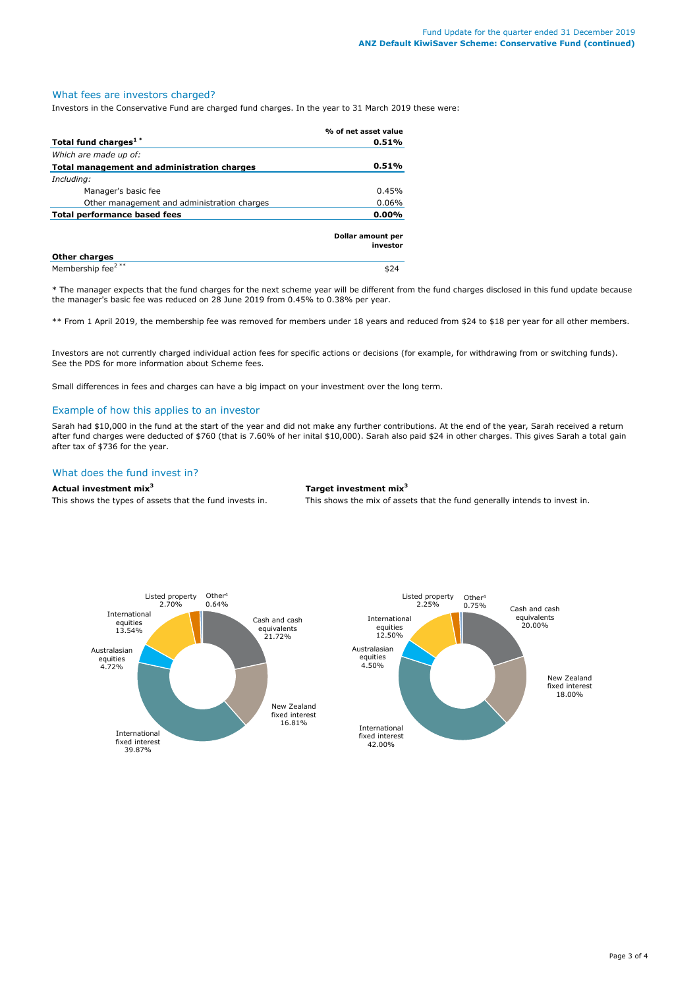## What fees are investors charged?

Investors in the Conservative Fund are charged fund charges. In the year to 31 March 2019 these were:

|                                             | % of net asset value          |  |
|---------------------------------------------|-------------------------------|--|
| Total fund charges <sup>1*</sup>            | 0.51%                         |  |
| Which are made up of:                       |                               |  |
| Total management and administration charges | 0.51%                         |  |
| Including:                                  |                               |  |
| Manager's basic fee                         | 0.45%                         |  |
| Other management and administration charges | 0.06%                         |  |
| Total performance based fees                | $0.00\%$                      |  |
|                                             | Dollar amount per<br>investor |  |
| <b>Other charges</b>                        |                               |  |
| Membership fee <sup>2**</sup>               |                               |  |

\* The manager expects that the fund charges for the next scheme year will be different from the fund charges disclosed in this fund update because the manager's basic fee was reduced on 28 June 2019 from 0.45% to 0.38% per year.

\*\* From 1 April 2019, the membership fee was removed for members under 18 years and reduced from \$24 to \$18 per year for all other members.

Investors are not currently charged individual action fees for specific actions or decisions (for example, for withdrawing from or switching funds). See the PDS for more information about Scheme fees.

Small differences in fees and charges can have a big impact on your investment over the long term.

#### Example of how this applies to an investor

Sarah had \$10,000 in the fund at the start of the year and did not make any further contributions. At the end of the year, Sarah received a return after fund charges were deducted of \$760 (that is 7.60% of her inital \$10,000). Sarah also paid \$24 in other charges. This gives Sarah a total gain after tax of \$736 for the year.

# What does the fund invest in?

#### **Actual investment mix<sup>3</sup> Target investment mix<sup>3</sup>**

This shows the types of assets that the fund invests in. This shows the mix of assets that the fund generally intends to invest in.